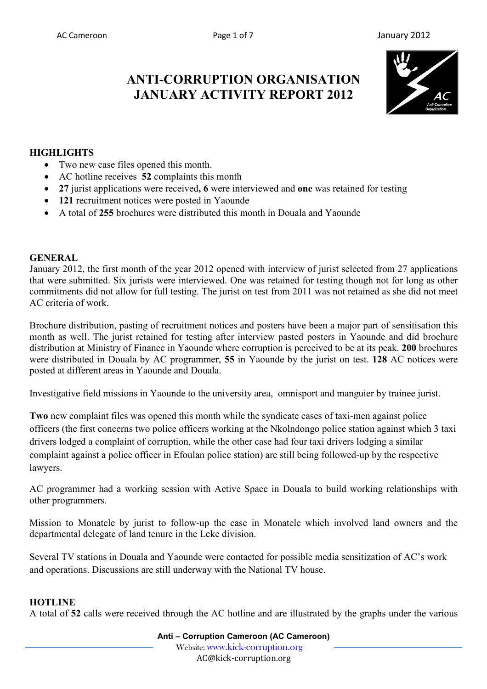# **ANTI-CORRUPTION ORGANISATION JANUARY ACTIVITY REPORT 2012**



# **HIGHLIGHTS**

- Two new case files opened this month.
- AC hotline receives **52** complaints this month
- **27** jurist applications were received**, 6** were interviewed and **one** was retained for testing
- **121** recruitment notices were posted in Yaounde
- A total of **255** brochures were distributed this month in Douala and Yaounde

#### **GENERAL**

January 2012, the first month of the year 2012 opened with interview of jurist selected from 27 applications that were submitted. Six jurists were interviewed. One was retained for testing though not for long as other commitments did not allow for full testing. The jurist on test from 2011 was not retained as she did not meet AC criteria of work.

Brochure distribution, pasting of recruitment notices and posters have been a major part of sensitisation this month as well. The jurist retained for testing after interview pasted posters in Yaounde and did brochure distribution at Ministry of Finance in Yaounde where corruption is perceived to be at its peak. **200** brochures were distributed in Douala by AC programmer, **55** in Yaounde by the jurist on test. **128** AC notices were posted at different areas in Yaounde and Douala.

Investigative field missions in Yaounde to the university area, omnisport and manguier by trainee jurist.

**Two** new complaint files was opened this month while the syndicate cases of taxi-men against police officers (the first concerns two police officers working at the Nkolndongo police station against which 3 taxi drivers lodged a complaint of corruption, while the other case had four taxi drivers lodging a similar complaint against a police officer in Efoulan police station) are still being followed-up by the respective lawyers.

AC programmer had a working session with Active Space in Douala to build working relationships with other programmers.

Mission to Monatele by jurist to follow-up the case in Monatele which involved land owners and the departmental delegate of land tenure in the Leke division.

Several TV stations in Douala and Yaounde were contacted for possible media sensitization of AC's work and operations. Discussions are still underway with the National TV house.

#### **HOTLINE**

A total of **52** calls were received through the AC hotline and are illustrated by the graphs under the various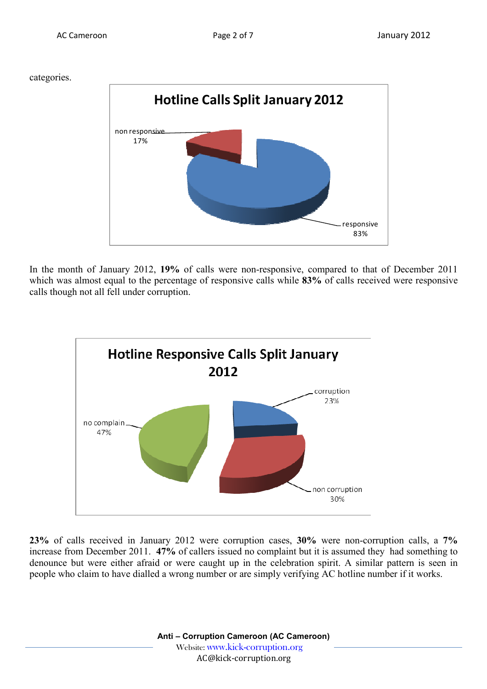categories.



In the month of January 2012, **19%** of calls were non-responsive, compared to that of December 2011 which was almost equal to the percentage of responsive calls while **83%** of calls received were responsive calls though not all fell under corruption.



**23%** of calls received in January 2012 were corruption cases, **30%** were non-corruption calls, a **7%** increase from December 2011. **47%** of callers issued no complaint but it is assumed they had something to denounce but were either afraid or were caught up in the celebration spirit. A similar pattern is seen in people who claim to have dialled a wrong number or are simply verifying AC hotline number if it works.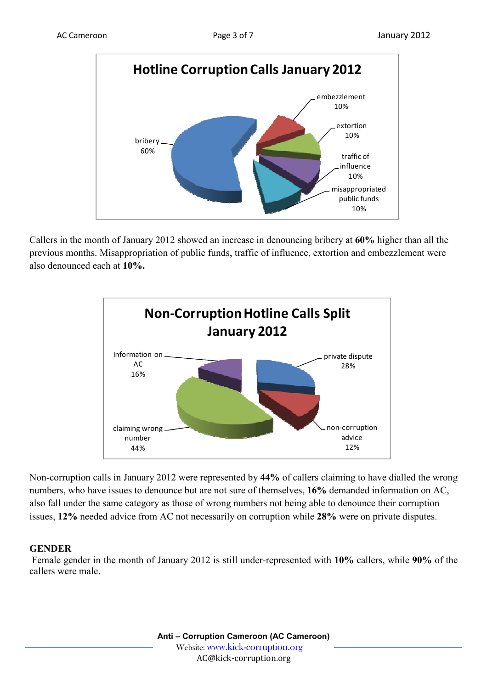

Callers in the month of January 2012 showed an increase in denouncing bribery at **60%** higher than all the previous months. Misappropriation of public funds, traffic of influence, extortion and embezzlement were also denounced each at **10%.**



Non-corruption calls in January 2012 were represented by **44%** of callers claiming to have dialled the wrong numbers, who have issues to denounce but are not sure of themselves, **16%** demanded information on AC, also fall under the same category as those of wrong numbers not being able to denounce their corruption issues, **12%** needed advice from AC not necessarily on corruption while **28%** were on private disputes.

#### **GENDER**

 Female gender in the month of January 2012 is still under-represented with **10%** callers, while **90%** of the callers were male.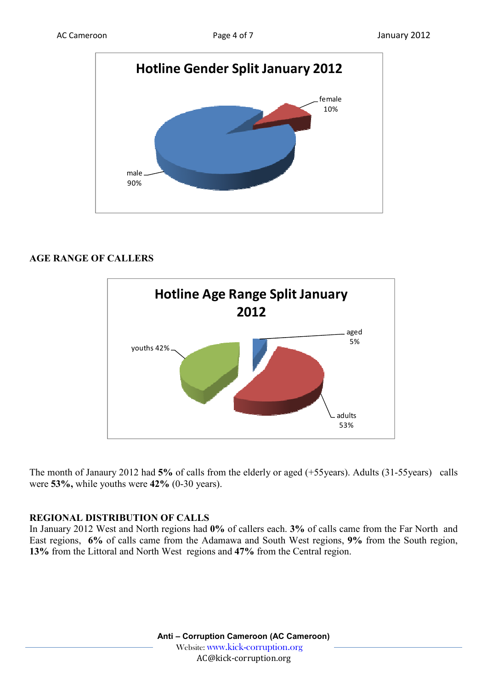

## **AGE RANGE OF CALLERS**



The month of Janaury 2012 had **5%** of calls from the elderly or aged (+55years). Adults (31-55years) calls were **53%,** while youths were **42%** (0-30 years).

#### **REGIONAL DISTRIBUTION OF CALLS**

In January 2012 West and North regions had **0%** of callers each. **3%** of calls came from the Far North and East regions, **6%** of calls came from the Adamawa and South West regions, **9%** from the South region, **13%** from the Littoral and North West regions and **47%** from the Central region.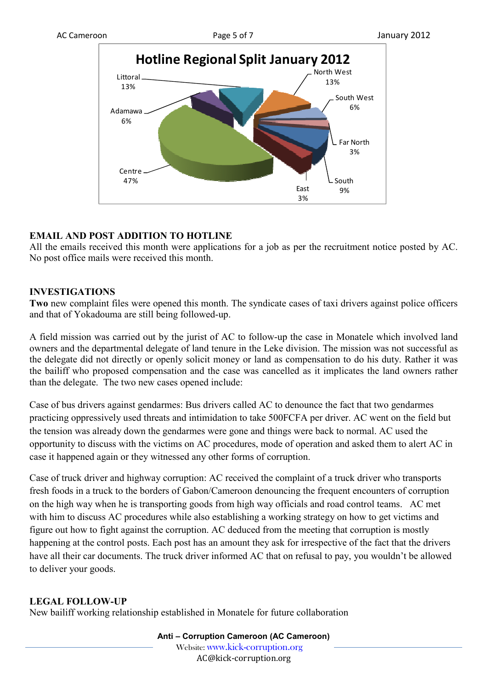

## **EMAIL AND POST ADDITION TO HOTLINE**

All the emails received this month were applications for a job as per the recruitment notice posted by AC. No post office mails were received this month.

#### **INVESTIGATIONS**

**Two** new complaint files were opened this month. The syndicate cases of taxi drivers against police officers and that of Yokadouma are still being followed-up.

A field mission was carried out by the jurist of AC to follow-up the case in Monatele which involved land owners and the departmental delegate of land tenure in the Leke division. The mission was not successful as the delegate did not directly or openly solicit money or land as compensation to do his duty. Rather it was the bailiff who proposed compensation and the case was cancelled as it implicates the land owners rather than the delegate. The two new cases opened include:

Case of bus drivers against gendarmes: Bus drivers called AC to denounce the fact that two gendarmes practicing oppressively used threats and intimidation to take 500FCFA per driver. AC went on the field but the tension was already down the gendarmes were gone and things were back to normal. AC used the opportunity to discuss with the victims on AC procedures, mode of operation and asked them to alert AC in case it happened again or they witnessed any other forms of corruption.

Case of truck driver and highway corruption: AC received the complaint of a truck driver who transports fresh foods in a truck to the borders of Gabon/Cameroon denouncing the frequent encounters of corruption on the high way when he is transporting goods from high way officials and road control teams. AC met with him to discuss AC procedures while also establishing a working strategy on how to get victims and figure out how to fight against the corruption. AC deduced from the meeting that corruption is mostly happening at the control posts. Each post has an amount they ask for irrespective of the fact that the drivers have all their car documents. The truck driver informed AC that on refusal to pay, you wouldn't be allowed to deliver your goods.

# **LEGAL FOLLOW-UP**

New bailiff working relationship established in Monatele for future collaboration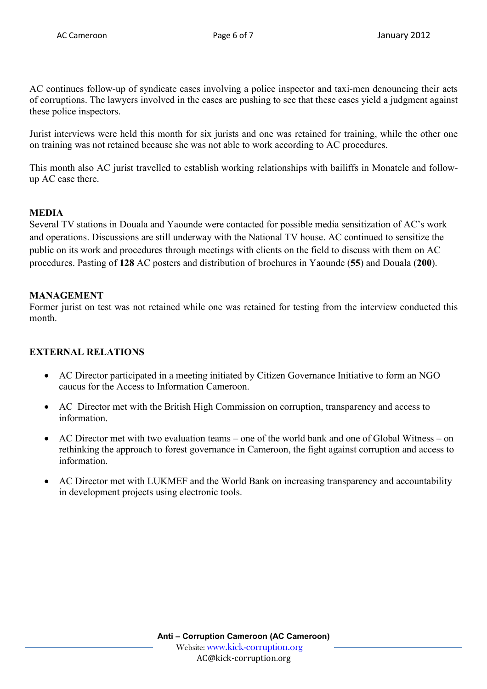AC continues follow-up of syndicate cases involving a police inspector and taxi-men denouncing their acts of corruptions. The lawyers involved in the cases are pushing to see that these cases yield a judgment against these police inspectors.

Jurist interviews were held this month for six jurists and one was retained for training, while the other one on training was not retained because she was not able to work according to AC procedures.

This month also AC jurist travelled to establish working relationships with bailiffs in Monatele and followup AC case there.

# **MEDIA**

Several TV stations in Douala and Yaounde were contacted for possible media sensitization of AC's work and operations. Discussions are still underway with the National TV house. AC continued to sensitize the public on its work and procedures through meetings with clients on the field to discuss with them on AC procedures. Pasting of **128** AC posters and distribution of brochures in Yaounde (**55**) and Douala (**200**).

## **MANAGEMENT**

Former jurist on test was not retained while one was retained for testing from the interview conducted this month.

# **EXTERNAL RELATIONS**

- AC Director participated in a meeting initiated by Citizen Governance Initiative to form an NGO caucus for the Access to Information Cameroon.
- AC Director met with the British High Commission on corruption, transparency and access to information.
- AC Director met with two evaluation teams one of the world bank and one of Global Witness on rethinking the approach to forest governance in Cameroon, the fight against corruption and access to information.
- AC Director met with LUKMEF and the World Bank on increasing transparency and accountability in development projects using electronic tools.